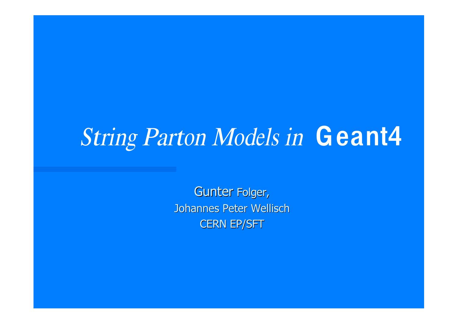# String Parton Models in Geant4

**Gunter Folger, Johannes Peter Wellisch CERN EP/SFT**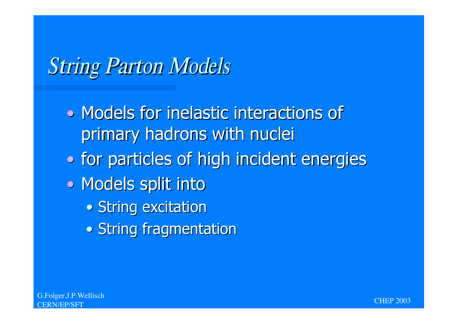## **String Parton Models**

- Models for inelastic interactions of primary hadrons with nuclei
- . for particles of high incident energies
- Models split into
	- String excitation
	- String fragmentation



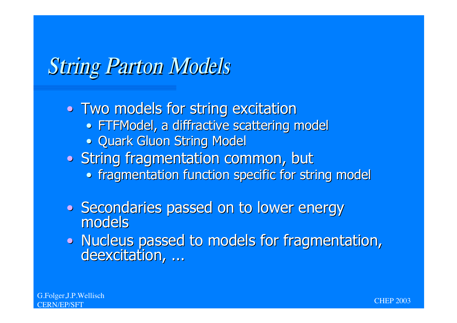## **String Parton Models**

- Two models for string excitation
	- FTFModel, a diffractive scattering model
	- . Quark Gluon String Model
- String fragmentation common, but
	- fragmentation function specific for string model
- Secondaries passed on to lower energy models
- Nucleus passed to models for fragmentation, deexcitation, ...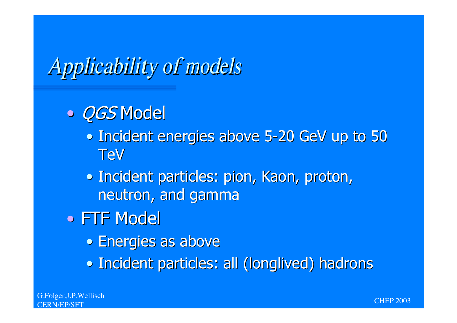## **Applicability of models**

#### · *QGS* Model

- Incident energies above 5-20 GeV up to 50 **TeV**
- · Incident particles: pion, Kaon, proton, neutron, and gamma
- FTF Model
	- Energies as above
	- Incident particles: all (longlived) hadrons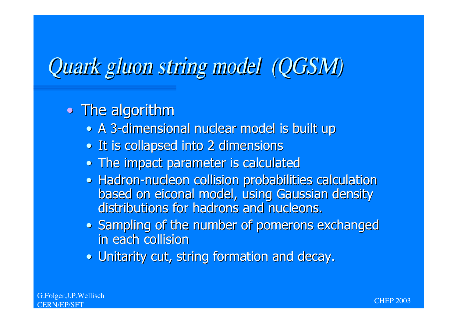## Quark gluo<sup>n</sup> <sup>s</sup>tring <sup>m</sup>odel (QGSM)

#### . The algorithm

- A 3-dimensional nuclear model is built up
- It is collapsed into 2 dimensions
- . The impact parameter is calculated
- . Hadron-nucleon collision probabilities calculation based on eiconal model, using Gaussian density distributions for hadrons and nucleons.
- Sampling of the number of pomerons exchanged in each collision
- . Unitarity cut, string formation and decay.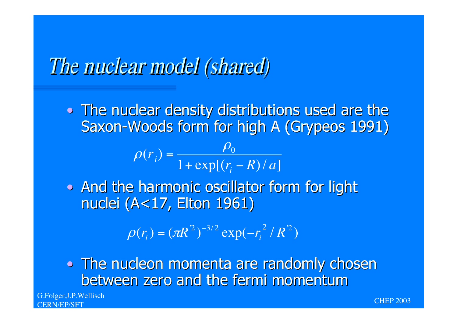#### The nuclear model (shared)

. The nuclear density distributions used are the Saxon-Woods form for high A (Grypeos 1991)

$$
\rho(r_i) = \frac{\rho_0}{1 + \exp[(r_i - R)/a]}
$$

• And the harmonic oscillator form for light nuclei (A<17, Elton 1961)

$$
\rho(r_i) = (\pi R^2)^{-3/2} \exp(-r_i^2 / R^2)
$$

. The nucleon momenta are randomly chosen between zero and the fermi momentum

G.Folger, J.P.Wellisch

CHEP 2003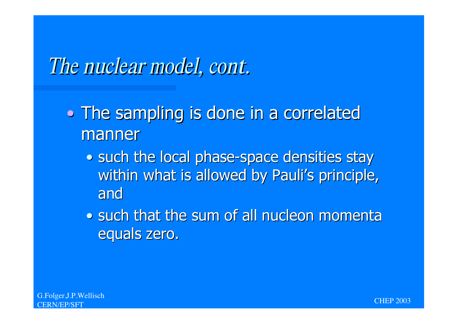#### The nuclear model, cont.

- The sampling is done in a correlated manner
	- . such the local phase-space densities stay within what is allowed by Pauli's principle, and
	- . such that the sum of all nucleon momenta equals zero.

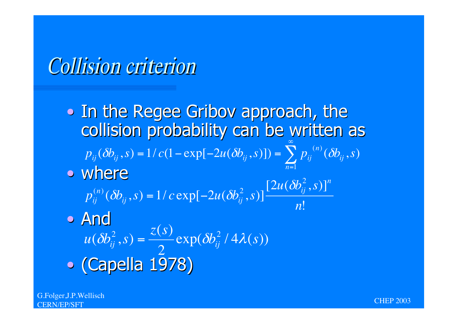### **Collision criterion**

. In the Regee Gribov approach, the collision probability can be written as  $p_{ij}(\delta b_{ij}, s) = 1/c(1 - \exp[-2u(\delta b_{ij}, s)]) = \sum_{i=1}^{n} p_{ij}^{(n)}(\delta b_{ij}, s)$ • where  $p_{ij}^{(n)}(\delta b_{ij}, s) = 1/c \exp[-2u(\delta b_{ij}^2, s)] \frac{[2u(\delta b_{ij}^2, s)]^n}{n!}$ · And  $u(\delta b_{ij}^2, s) = \frac{\bar{z}(s)}{2} \exp(\delta b_{ij}^2 / 4\lambda(s))$ 

· (Capella 1978)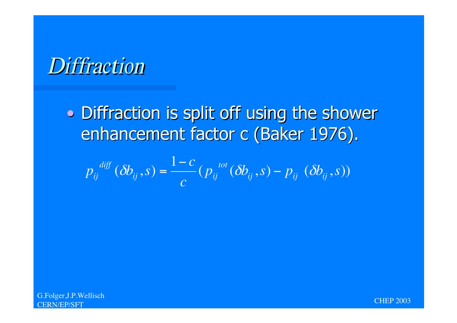#### **Diffraction**

· Diffraction is split off using the shower enhancement factor c (Baker 1976).

$$
p_{ij}^{diff}(\delta b_{ij}, s) = \frac{1-c}{c} (p_{ij}^{tot}(\delta b_{ij}, s) - p_{ij}(\delta b_{ij}, s))
$$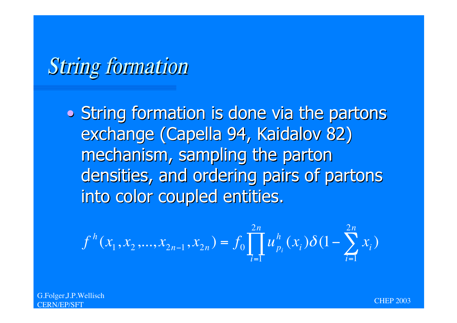## **String formation**

• String formation is done via the partons exchange (Capella 94, Kaidalov 82) mechanism, sampling the parton densities, and ordering pairs of partons into color coupled entities.

$$
f^{h}(x_1, x_2, \ldots, x_{2n-1}, x_{2n}) = f_0 \prod_{i=1}^{2n} u_{p_i}^{h}(x_i) \delta(1 - \sum_{i=1}^{2n} x_i)
$$

G.Folger, J.P.Wellisch

CHEP 2003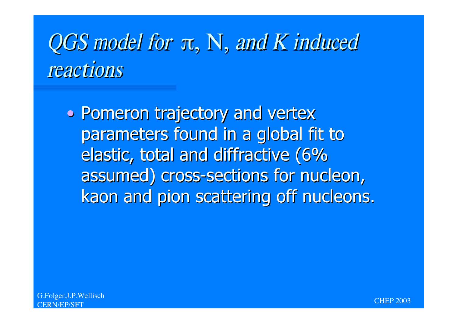# $QGS$  model for  $\pi$ , N, and K induced <sup>r</sup>eaction<sup>s</sup>

• Pomeron trajectory and vertex parameters found in a global fit to elastic, total and diffractive (6% assumed) cross-sections for nucleon, kaon and pion scattering off nucleons.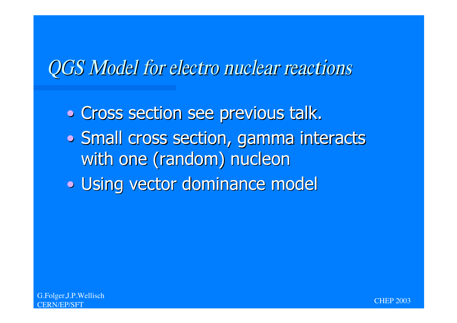#### QGS Model fo<sup>r</sup> <sup>e</sup>lectr<sup>o</sup> nuclea<sup>r</sup> <sup>r</sup>eaction<sup>s</sup>

. Cross section see previous talk. . Small cross section, gamma interacts with one (random) nucleon • Using vector dominance model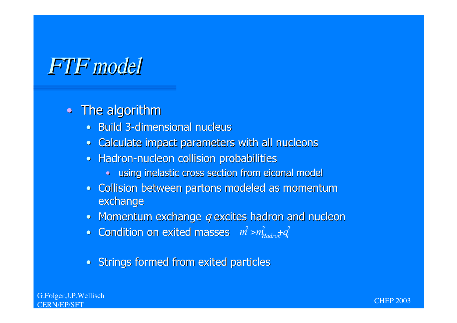### **FTF** model

#### • The algorithm

- Build 3-dimensional nucleus
- · Calculate impact parameters with all nucleons
- Hadron-nucleon collision probabilities  $\bullet$ 
	- · using inelastic cross section from eiconal model
- · Collision between partons modeled as momentum exchange
- Momentum exchange q excites hadron and nucleon
- Condition on exited masses  $m^2 > m_{Hadron}^2 + q^2$
- Strings formed from exited particles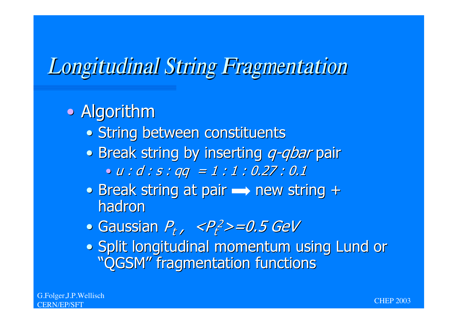# **Longitudinal String Fragmentation**

#### • Algorithm

- · String between constituents
- Break string by inserting q-qbar pair

 $\bullet u : d : s : qq = 1 : 1 : 0.27 : 0.1$ 

- Break string at pair  $\rightarrow$  new string + hadron
- $\bullet$  Gaussian  $P_t$ ,  $\langle P_t^2 \rangle = 0.5$  GeV
- . Split longitudinal momentum using Lund or "OGSM" fragmentation functions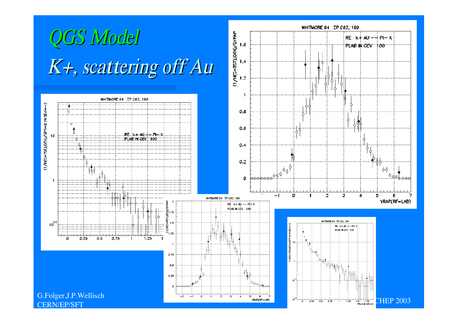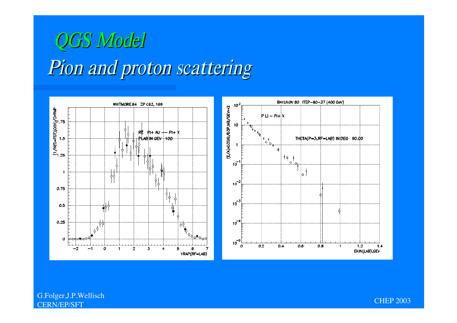## Pio<sup>n</sup> <sup>a</sup>nd proto<sup>n</sup> <sup>s</sup>cattering QGS Model



G.Folger,J.P.Wellisch CERN/EP/SFT CHEP 2003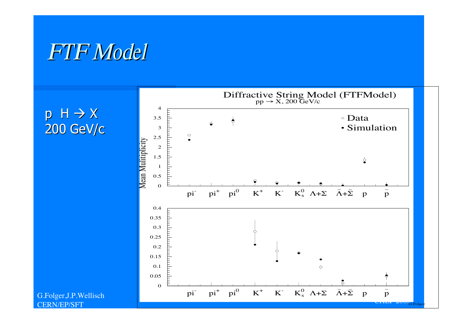#### FTF Model

 $p H \rightarrow X$ 200 GeV/c



G.Folger,J.P.Wellisch